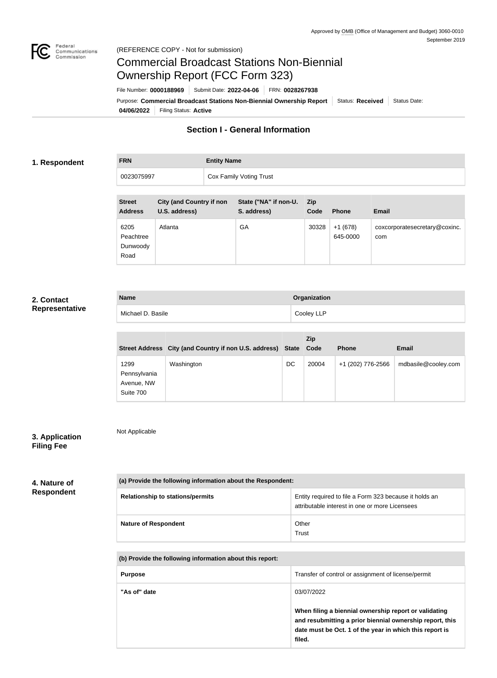

# Commercial Broadcast Stations Non-Biennial Ownership Report (FCC Form 323)

**04/06/2022** Filing Status: **Active** Purpose: Commercial Broadcast Stations Non-Biennial Ownership Report Status: Received Status Date: File Number: **0000188969** Submit Date: **2022-04-06** FRN: **0028267938**

### **Section I - General Information**

#### **1. Respondent**

## **FRN Entity Name** 0023075997 Cox Family Voting Trust

| <b>Street</b><br><b>Address</b>       | <b>City (and Country if non</b><br>U.S. address) | State ("NA" if non-U.<br>S. address) | Zip<br>Code | <b>Phone</b>          | <b>Email</b>                         |
|---------------------------------------|--------------------------------------------------|--------------------------------------|-------------|-----------------------|--------------------------------------|
| 6205<br>Peachtree<br>Dunwoody<br>Road | Atlanta                                          | GA                                   | 30328       | $+1(678)$<br>645-0000 | coxcorporatesecretary@coxinc.<br>com |

#### **2. Contact Representative**

| <b>Name</b>       | Organization |
|-------------------|--------------|
| Michael D. Basile | Cooley LLP   |

|                                                 | Street Address City (and Country if non U.S. address) State Code |    | <b>Zip</b> | <b>Phone</b>      | <b>Email</b>        |
|-------------------------------------------------|------------------------------------------------------------------|----|------------|-------------------|---------------------|
| 1299<br>Pennsylvania<br>Avenue, NW<br>Suite 700 | Washington                                                       | DC | 20004      | +1 (202) 776-2566 | mdbasile@cooley.com |

# **3. Application**

Not Applicable

# **Filing Fee**

#### **4. Nature of Respondent**

| (a) Provide the following information about the Respondent: |                                                                                                          |  |
|-------------------------------------------------------------|----------------------------------------------------------------------------------------------------------|--|
| <b>Relationship to stations/permits</b>                     | Entity required to file a Form 323 because it holds an<br>attributable interest in one or more Licensees |  |
| <b>Nature of Respondent</b>                                 | Other<br>Trust                                                                                           |  |

**(b) Provide the following information about this report:**

| <b>Purpose</b> | Transfer of control or assignment of license/permit                                                                                                                                    |
|----------------|----------------------------------------------------------------------------------------------------------------------------------------------------------------------------------------|
| "As of" date   | 03/07/2022                                                                                                                                                                             |
|                | When filing a biennial ownership report or validating<br>and resubmitting a prior biennial ownership report, this<br>date must be Oct. 1 of the year in which this report is<br>filed. |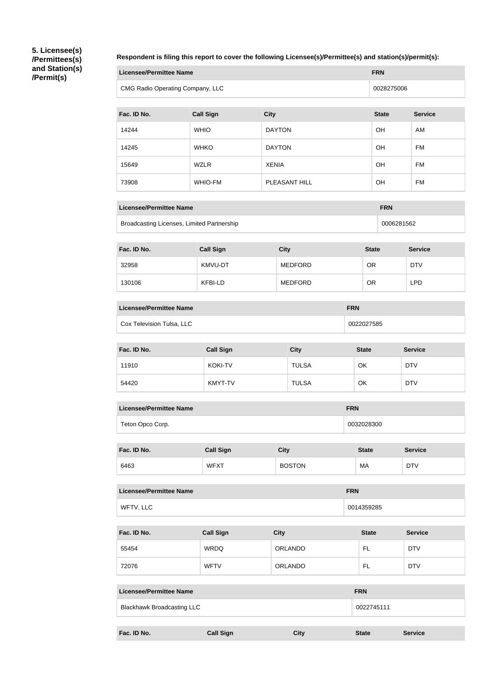**5. Licensee(s) /Permittees(s) and Station(s) /Permit(s)**

#### **Respondent is filing this report to cover the following Licensee(s)/Permittee(s) and station(s)/permit(s):**

| Licensee/Permittee Name          | <b>FRN</b> |
|----------------------------------|------------|
| CMG Radio Operating Company, LLC | 0028275006 |

| Fac. ID No. | <b>Call Sign</b> | <b>City</b>   | <b>State</b> | <b>Service</b> |
|-------------|------------------|---------------|--------------|----------------|
| 14244       | <b>WHIO</b>      | <b>DAYTON</b> | OH           | AM             |
| 14245       | <b>WHKO</b>      | <b>DAYTON</b> | OH           | FM             |
| 15649       | <b>WZLR</b>      | <b>XENIA</b>  | OH           | FM             |
| 73908       | <b>WHIO-FM</b>   | PLEASANT HILL | OH           | FM             |

| Licensee/Permittee Name                    | <b>FRN</b> |
|--------------------------------------------|------------|
| Broadcasting Licenses, Limited Partnership | 0006281562 |

| Fac. ID No. | <b>Call Sign</b> | <b>City</b>    | <b>State</b> | <b>Service</b> |
|-------------|------------------|----------------|--------------|----------------|
| 32958       | KMVU-DT          | <b>MEDFORD</b> | OR           | <b>DTV</b>     |
| 130106      | KFBI-LD          | <b>MEDFORD</b> | ΟR           | LPD            |

| Licensee/Permittee Name   | <b>FRN</b> |
|---------------------------|------------|
| Cox Television Tulsa, LLC | 0022027585 |

| Fac. ID No. | <b>Call Sign</b> | <b>City</b>  | <b>State</b> | <b>Service</b> |
|-------------|------------------|--------------|--------------|----------------|
| 11910       | <b>KOKI-TV</b>   | <b>TULSA</b> | OK           | <b>DTV</b>     |
| 54420       | KMYT-TV          | <b>TULSA</b> | OK           | <b>DTV</b>     |

| Licensee/Permittee Name | <b>FRN</b> |
|-------------------------|------------|
| Teton Opco Corp.        | 0032028300 |

| Fac. ID No. | <b>Call Sign</b> | <b>City</b>   | <b>State</b> | <b>Service</b> |
|-------------|------------------|---------------|--------------|----------------|
| 6463        | <b>WFXT</b>      | <b>BOSTON</b> | МA           | <b>DTV</b>     |

| <b>Licensee/Permittee Name</b> | <b>FRN</b> |
|--------------------------------|------------|
| WFTV, LLC                      | 0014359285 |

| Fac. ID No. | <b>Call Sign</b> | <b>City</b>    | <b>State</b> | <b>Service</b> |
|-------------|------------------|----------------|--------------|----------------|
| 55454       | <b>WRDQ</b>      | <b>ORLANDO</b> | FL           | <b>DTV</b>     |
| 72076       | <b>WFTV</b>      | <b>ORLANDO</b> | FL.          | <b>DTV</b>     |

| <b>Licensee/Permittee Name</b>    |                  |             | <b>FRN</b>   |                |  |
|-----------------------------------|------------------|-------------|--------------|----------------|--|
| <b>Blackhawk Broadcasting LLC</b> |                  |             | 0022745111   |                |  |
|                                   |                  |             |              |                |  |
| Fac. ID No.                       | <b>Call Sign</b> | <b>City</b> | <b>State</b> | <b>Service</b> |  |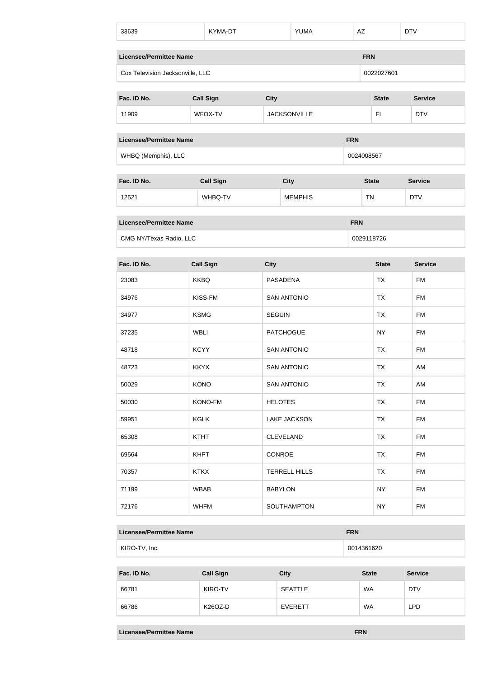| 33639                            |                                              | KYMA-DT          |                      |             | <b>YUMA</b>         | AZ         |              |              | <b>DTV</b> |                |
|----------------------------------|----------------------------------------------|------------------|----------------------|-------------|---------------------|------------|--------------|--------------|------------|----------------|
|                                  | <b>Licensee/Permittee Name</b><br><b>FRN</b> |                  |                      |             |                     |            |              |              |            |                |
| Cox Television Jacksonville, LLC |                                              |                  |                      |             |                     |            |              | 0022027601   |            |                |
| Fac. ID No.                      |                                              | <b>Call Sign</b> | <b>City</b>          |             |                     |            |              | <b>State</b> |            | <b>Service</b> |
| 11909                            |                                              | WFOX-TV          |                      |             | <b>JACKSONVILLE</b> |            |              | FL.          |            | <b>DTV</b>     |
|                                  |                                              |                  |                      |             |                     |            |              |              |            |                |
| <b>Licensee/Permittee Name</b>   |                                              |                  |                      |             |                     | <b>FRN</b> |              |              |            |                |
| WHBQ (Memphis), LLC              |                                              |                  |                      |             |                     |            | 0024008567   |              |            |                |
| Fac. ID No.                      |                                              |                  |                      |             |                     |            |              |              |            |                |
|                                  |                                              | <b>Call Sign</b> |                      | <b>City</b> |                     |            | <b>State</b> |              |            | <b>Service</b> |
| 12521                            |                                              | WHBQ-TV          |                      |             | <b>MEMPHIS</b>      |            | <b>TN</b>    |              |            | <b>DTV</b>     |
| <b>Licensee/Permittee Name</b>   |                                              |                  |                      |             |                     | <b>FRN</b> |              |              |            |                |
| CMG NY/Texas Radio, LLC          |                                              |                  |                      |             |                     |            |              | 0029118726   |            |                |
| Fac. ID No.                      |                                              | <b>Call Sign</b> | <b>City</b>          |             |                     |            |              | <b>State</b> |            | <b>Service</b> |
| 23083                            | <b>KKBQ</b>                                  |                  | <b>PASADENA</b>      |             |                     |            |              | <b>TX</b>    |            | <b>FM</b>      |
| 34976                            |                                              | KISS-FM          |                      |             | <b>SAN ANTONIO</b>  |            |              | <b>TX</b>    |            | <b>FM</b>      |
| 34977                            | <b>KSMG</b>                                  |                  | <b>SEGUIN</b>        |             |                     |            |              | <b>TX</b>    |            | <b>FM</b>      |
| 37235                            | <b>WBLI</b>                                  |                  | <b>PATCHOGUE</b>     |             |                     |            |              | <b>NY</b>    |            | <b>FM</b>      |
| 48718                            | <b>KCYY</b>                                  |                  |                      |             | <b>SAN ANTONIO</b>  |            |              | <b>TX</b>    |            | <b>FM</b>      |
| 48723                            | <b>KKYX</b>                                  |                  |                      |             | <b>SAN ANTONIO</b>  |            |              | <b>TX</b>    |            | AM             |
| 50029                            | <b>KONO</b>                                  |                  |                      |             | <b>SAN ANTONIO</b>  |            |              | <b>TX</b>    |            | AM             |
| 50030                            |                                              | KONO-FM          | <b>HELOTES</b>       |             |                     |            |              | <b>TX</b>    |            | <b>FM</b>      |
| 59951                            | <b>KGLK</b>                                  |                  |                      |             | <b>LAKE JACKSON</b> |            |              | <b>TX</b>    |            | <b>FM</b>      |
| 65308                            | <b>KTHT</b>                                  |                  | <b>CLEVELAND</b>     |             |                     |            | <b>TX</b>    |              | <b>FM</b>  |                |
| 69564                            | <b>KHPT</b>                                  |                  | CONROE               |             |                     |            |              | <b>TX</b>    |            | <b>FM</b>      |
| 70357                            | <b>KTKX</b>                                  |                  | <b>TERRELL HILLS</b> |             |                     |            |              | <b>TX</b>    |            | <b>FM</b>      |
| 71199                            | <b>WBAB</b>                                  |                  | <b>BABYLON</b>       |             |                     |            |              | <b>NY</b>    |            | <b>FM</b>      |
| 72176                            | <b>WHFM</b>                                  |                  |                      |             | SOUTHAMPTON         |            |              | <b>NY</b>    |            | <b>FM</b>      |
|                                  |                                              |                  |                      |             |                     |            |              |              |            |                |

| Licensee/Permittee Name | <b>FRN</b> |
|-------------------------|------------|
| KIRO-TV, Inc.           | 0014361620 |

| Fac. ID No. | <b>Call Sign</b> | <b>City</b>    | <b>State</b> | <b>Service</b> |
|-------------|------------------|----------------|--------------|----------------|
| 66781       | KIRO-TV          | <b>SEATTLE</b> | <b>WA</b>    | <b>DTV</b>     |
| 66786       | K26OZ-D          | <b>EVERETT</b> | <b>WA</b>    | <b>LPD</b>     |

**Licensee/Permittee Name FRN**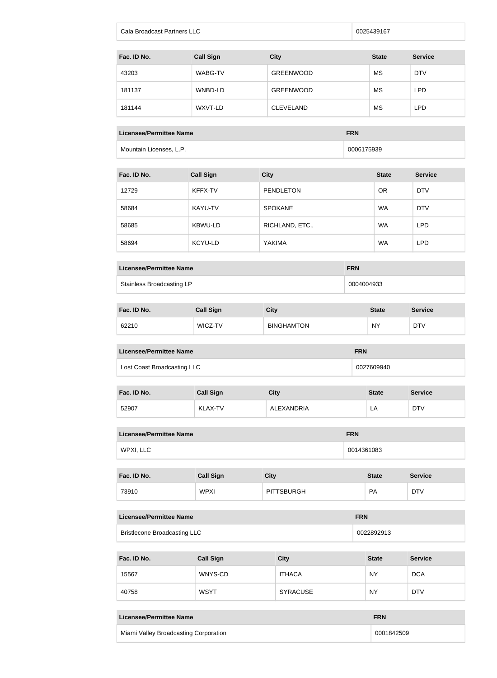| Cala Broadcast Partners LLC | 0025439167 |
|-----------------------------|------------|
|-----------------------------|------------|

| Fac. ID No. | <b>Call Sign</b> | <b>City</b>      | <b>State</b> | <b>Service</b> |
|-------------|------------------|------------------|--------------|----------------|
| 43203       | WABG-TV          | <b>GREENWOOD</b> | МS           | <b>DTV</b>     |
| 181137      | WNBD-LD          | <b>GREENWOOD</b> | МS           | <b>LPD</b>     |
| 181144      | WXVT-LD          | <b>CLEVELAND</b> | МS           | <b>LPD</b>     |

#### **Licensee/Permittee Name FRN**

Mountain Licenses, L.P. **Contrary and Contrary and Contrary and Contrary and Contrary and Contrary and Contrary and Contrary and Contrary and Contrary and Contrary and Contrary and Contrary and Contrary and Contrary and Co** 

| Fac. ID No. | <b>Call Sign</b> | <b>City</b>      | <b>State</b> | <b>Service</b> |
|-------------|------------------|------------------|--------------|----------------|
| 12729       | KFFX-TV          | <b>PENDLETON</b> | <b>OR</b>    | <b>DTV</b>     |
| 58684       | KAYU-TV          | <b>SPOKANE</b>   | WA           | <b>DTV</b>     |
| 58685       | KBWU-LD          | RICHLAND, ETC.,  | <b>WA</b>    | <b>LPD</b>     |
| 58694       | KCYU-LD          | YAKIMA           | <b>WA</b>    | <b>LPD</b>     |

| Licensee/Permittee Name   | <b>FRN</b> |
|---------------------------|------------|
| Stainless Broadcasting LP | 0004004933 |

| Fac. ID No. | <b>Call Sign</b> | City              | <b>State</b> | <b>Service</b> |
|-------------|------------------|-------------------|--------------|----------------|
| 62210       | WICZ-TV          | <b>BINGHAMTON</b> | <b>NY</b>    | <b>DTV</b>     |

| Licensee/Permittee Name     | <b>FRN</b> |
|-----------------------------|------------|
| Lost Coast Broadcasting LLC | 0027609940 |

| Fac. ID No. | <b>Call Sign</b> | City              | <b>State</b> | <b>Service</b> |
|-------------|------------------|-------------------|--------------|----------------|
| 52907       | <b>KLAX-TV</b>   | <b>ALEXANDRIA</b> | LA           | <b>DTV</b>     |

| <b>Licensee/Permittee Name</b> | <b>FRN</b> |
|--------------------------------|------------|
| WPXI, LLC                      | 0014361083 |

| Fac. ID No. | <b>Call Sign</b> | <b>City</b>       | <b>State</b> | <b>Service</b> |
|-------------|------------------|-------------------|--------------|----------------|
| 73910       | <b>WPXI</b>      | <b>PITTSBURGH</b> | <b>PA</b>    | <b>DTV</b>     |

| Licensee/Permittee Name             | <b>FRN</b> |
|-------------------------------------|------------|
| <b>Bristlecone Broadcasting LLC</b> | 0022892913 |

| Fac. ID No. | <b>Call Sign</b> | <b>City</b>     | <b>State</b> | <b>Service</b> |
|-------------|------------------|-----------------|--------------|----------------|
| 15567       | WNYS-CD          | <b>ITHACA</b>   | <b>NY</b>    | <b>DCA</b>     |
| 40758       | <b>WSYT</b>      | <b>SYRACUSE</b> | <b>NY</b>    | <b>DTV</b>     |

| Licensee/Permittee Name               | <b>FRN</b> |
|---------------------------------------|------------|
| Miami Valley Broadcasting Corporation | 0001842509 |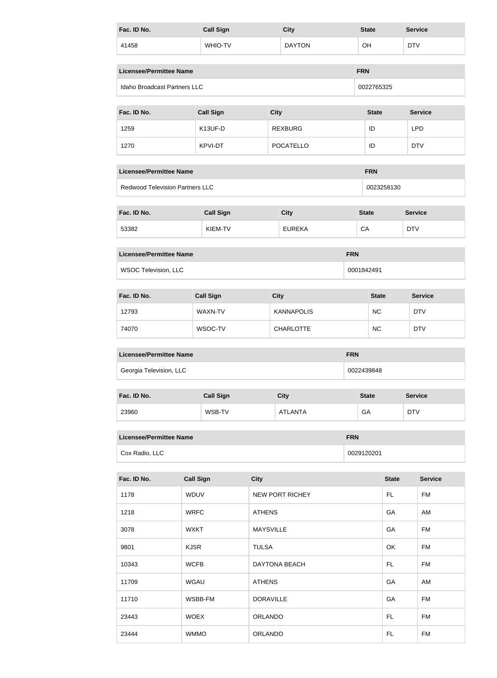| Fac. ID No.                            |                                              | <b>Call Sign</b> |                  | <b>City</b> |                        | <b>State</b> |              | <b>Service</b> |                |                |
|----------------------------------------|----------------------------------------------|------------------|------------------|-------------|------------------------|--------------|--------------|----------------|----------------|----------------|
| 41458                                  |                                              | WHIO-TV          | <b>DAYTON</b>    |             |                        | OH           |              | <b>DTV</b>     |                |                |
|                                        | <b>Licensee/Permittee Name</b><br><b>FRN</b> |                  |                  |             |                        |              |              |                |                |                |
| Idaho Broadcast Partners LLC           |                                              |                  |                  |             |                        |              | 0022765325   |                |                |                |
| Fac. ID No.                            |                                              | <b>Call Sign</b> |                  | <b>City</b> |                        |              | <b>State</b> |                |                | <b>Service</b> |
| 1259                                   |                                              | K13UF-D          |                  |             | <b>REXBURG</b>         |              | ID           |                | <b>LPD</b>     |                |
| 1270                                   |                                              | KPVI-DT          |                  |             | <b>POCATELLO</b>       |              | ID           |                | <b>DTV</b>     |                |
| <b>Licensee/Permittee Name</b>         |                                              |                  |                  |             |                        |              | <b>FRN</b>   |                |                |                |
| <b>Redwood Television Partners LLC</b> |                                              |                  |                  |             |                        |              |              | 0023258130     |                |                |
| Fac. ID No.                            |                                              | <b>Call Sign</b> |                  |             | <b>City</b>            |              | <b>State</b> |                | <b>Service</b> |                |
| 53382                                  |                                              | KIEM-TV          |                  |             | <b>EUREKA</b>          |              | CA           |                | <b>DTV</b>     |                |
| <b>Licensee/Permittee Name</b>         |                                              |                  |                  |             |                        | <b>FRN</b>   |              |                |                |                |
| <b>WSOC Television, LLC</b>            |                                              |                  |                  |             |                        |              | 0001842491   |                |                |                |
|                                        |                                              |                  |                  |             |                        |              |              |                |                |                |
| Fac. ID No.                            |                                              | <b>Call Sign</b> |                  | <b>City</b> |                        | <b>State</b> |              |                |                | <b>Service</b> |
| 12793                                  |                                              | WAXN-TV          |                  |             | <b>KANNAPOLIS</b>      | <b>NC</b>    |              |                |                | <b>DTV</b>     |
| 74070                                  |                                              | WSOC-TV          |                  |             | <b>CHARLOTTE</b>       |              | <b>NC</b>    |                |                | <b>DTV</b>     |
| <b>Licensee/Permittee Name</b>         |                                              |                  |                  |             |                        | <b>FRN</b>   |              |                |                |                |
| Georgia Television, LLC                |                                              |                  |                  |             |                        |              | 0022439848   |                |                |                |
| Fac. ID No.                            |                                              | <b>Call Sign</b> |                  |             | <b>City</b>            | <b>State</b> |              |                | <b>Service</b> |                |
| 23960                                  |                                              | WSB-TV           |                  |             | <b>ATLANTA</b>         |              | GA           |                | <b>DTV</b>     |                |
| <b>Licensee/Permittee Name</b>         |                                              |                  |                  |             |                        | <b>FRN</b>   |              |                |                |                |
| Cox Radio, LLC                         |                                              |                  |                  |             |                        |              | 0029120201   |                |                |                |
| Fac. ID No.                            | <b>Call Sign</b>                             |                  | <b>City</b>      |             |                        |              |              | <b>State</b>   |                | <b>Service</b> |
| 1178                                   | WDUV                                         |                  |                  |             | <b>NEW PORT RICHEY</b> |              |              | FL.            |                | <b>FM</b>      |
| 1218                                   | <b>WRFC</b>                                  |                  | <b>ATHENS</b>    |             |                        |              |              | GA             |                | AM             |
| 3078                                   | <b>WXKT</b>                                  |                  | <b>MAYSVILLE</b> |             |                        |              |              | GA             |                | <b>FM</b>      |
| 9801                                   | <b>KJSR</b>                                  |                  | <b>TULSA</b>     |             |                        |              |              | OK             |                | <b>FM</b>      |
| 10343                                  | <b>WCFB</b>                                  |                  | DAYTONA BEACH    |             |                        |              |              | FL.            |                | <b>FM</b>      |
| 11709                                  | <b>WGAU</b>                                  |                  | <b>ATHENS</b>    |             |                        |              |              | GA             |                | AM             |
| 11710                                  |                                              | WSBB-FM          | <b>DORAVILLE</b> |             |                        |              |              | GA             |                | <b>FM</b>      |
| 23443                                  | <b>WOEX</b>                                  |                  | ORLANDO          |             |                        |              |              | FL             |                | <b>FM</b>      |
| 23444                                  | <b>WMMO</b>                                  |                  | ORLANDO          |             |                        |              |              | FL             |                | <b>FM</b>      |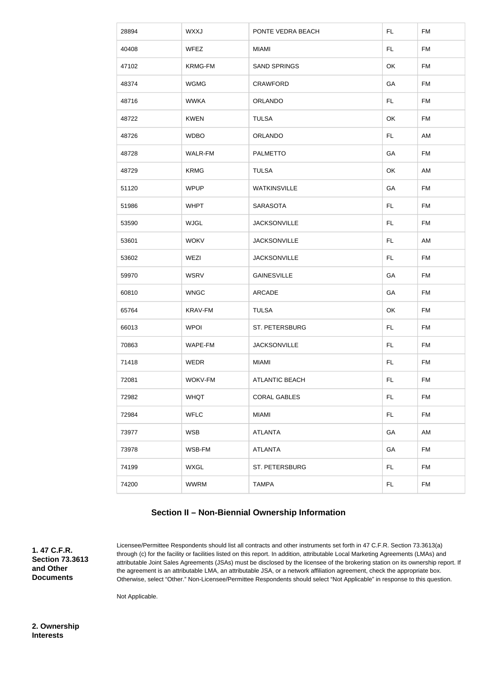| 28894 | <b>WXXJ</b> | PONTE VEDRA BEACH     | FL. | <b>FM</b> |
|-------|-------------|-----------------------|-----|-----------|
| 40408 | <b>WFEZ</b> | <b>MIAMI</b>          | FL. | <b>FM</b> |
| 47102 | KRMG-FM     | <b>SAND SPRINGS</b>   | OK  | FM        |
| 48374 | <b>WGMG</b> | <b>CRAWFORD</b>       | GA  | <b>FM</b> |
| 48716 | <b>WWKA</b> | <b>ORLANDO</b>        | FL. | <b>FM</b> |
| 48722 | <b>KWEN</b> | <b>TULSA</b>          | OK  | FM        |
| 48726 | <b>WDBO</b> | ORLANDO               | FL. | AM        |
| 48728 | WALR-FM     | <b>PALMETTO</b>       | GA  | FM        |
| 48729 | <b>KRMG</b> | <b>TULSA</b>          | OK  | AM        |
| 51120 | <b>WPUP</b> | <b>WATKINSVILLE</b>   | GA  | <b>FM</b> |
| 51986 | <b>WHPT</b> | <b>SARASOTA</b>       | FL. | FM        |
| 53590 | <b>WJGL</b> | <b>JACKSONVILLE</b>   | FL. | FM        |
| 53601 | <b>WOKV</b> | <b>JACKSONVILLE</b>   | FL. | AM        |
| 53602 | WEZI        | <b>JACKSONVILLE</b>   | FL. | <b>FM</b> |
| 59970 | <b>WSRV</b> | <b>GAINESVILLE</b>    | GA  | FM        |
| 60810 | <b>WNGC</b> | ARCADE                | GA  | <b>FM</b> |
| 65764 | KRAV-FM     | <b>TULSA</b>          | OK  | FM        |
| 66013 | <b>WPOI</b> | ST. PETERSBURG        | FL. | <b>FM</b> |
| 70863 | WAPE-FM     | <b>JACKSONVILLE</b>   | FL. | FM        |
| 71418 | WEDR        | <b>MIAMI</b>          | FL. | FM        |
| 72081 | WOKV-FM     | <b>ATLANTIC BEACH</b> | FL. | <b>FM</b> |
| 72982 | <b>WHQT</b> | <b>CORAL GABLES</b>   | FL. | FM        |
| 72984 | <b>WFLC</b> | <b>MIAMI</b>          | FL. | FM        |
| 73977 | <b>WSB</b>  | <b>ATLANTA</b>        | GA  | AM        |
| 73978 | WSB-FM      | <b>ATLANTA</b>        | GA  | <b>FM</b> |
| 74199 | <b>WXGL</b> | ST. PETERSBURG        | FL. | FM        |
| 74200 | <b>WWRM</b> | <b>TAMPA</b>          | FL. | FM        |

## **Section II – Non-Biennial Ownership Information**

**1. 47 C.F.R. Section 73.3613 and Other Documents**

Licensee/Permittee Respondents should list all contracts and other instruments set forth in 47 C.F.R. Section 73.3613(a) through (c) for the facility or facilities listed on this report. In addition, attributable Local Marketing Agreements (LMAs) and attributable Joint Sales Agreements (JSAs) must be disclosed by the licensee of the brokering station on its ownership report. If the agreement is an attributable LMA, an attributable JSA, or a network affiliation agreement, check the appropriate box. Otherwise, select "Other." Non-Licensee/Permittee Respondents should select "Not Applicable" in response to this question.

Not Applicable.

**2. Ownership Interests**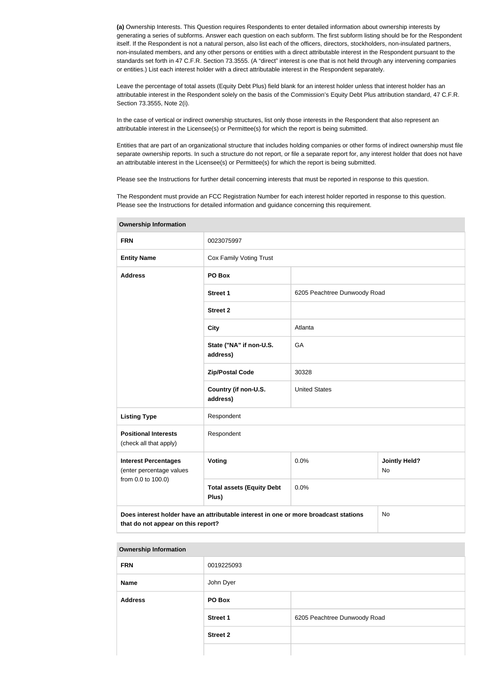**(a)** Ownership Interests. This Question requires Respondents to enter detailed information about ownership interests by generating a series of subforms. Answer each question on each subform. The first subform listing should be for the Respondent itself. If the Respondent is not a natural person, also list each of the officers, directors, stockholders, non-insulated partners, non-insulated members, and any other persons or entities with a direct attributable interest in the Respondent pursuant to the standards set forth in 47 C.F.R. Section 73.3555. (A "direct" interest is one that is not held through any intervening companies or entities.) List each interest holder with a direct attributable interest in the Respondent separately.

Leave the percentage of total assets (Equity Debt Plus) field blank for an interest holder unless that interest holder has an attributable interest in the Respondent solely on the basis of the Commission's Equity Debt Plus attribution standard, 47 C.F.R. Section 73.3555, Note 2(i).

In the case of vertical or indirect ownership structures, list only those interests in the Respondent that also represent an attributable interest in the Licensee(s) or Permittee(s) for which the report is being submitted.

Entities that are part of an organizational structure that includes holding companies or other forms of indirect ownership must file separate ownership reports. In such a structure do not report, or file a separate report for, any interest holder that does not have an attributable interest in the Licensee(s) or Permittee(s) for which the report is being submitted.

Please see the Instructions for further detail concerning interests that must be reported in response to this question.

The Respondent must provide an FCC Registration Number for each interest holder reported in response to this question. Please see the Instructions for detailed information and guidance concerning this requirement.

| UWIIGI JIIIN IIIIUI IIIUUUII                                                                                               |                                           |                              |                            |  |  |  |
|----------------------------------------------------------------------------------------------------------------------------|-------------------------------------------|------------------------------|----------------------------|--|--|--|
| <b>FRN</b>                                                                                                                 | 0023075997                                |                              |                            |  |  |  |
| <b>Entity Name</b>                                                                                                         | Cox Family Voting Trust                   |                              |                            |  |  |  |
| <b>Address</b>                                                                                                             | PO Box                                    |                              |                            |  |  |  |
|                                                                                                                            | <b>Street 1</b>                           | 6205 Peachtree Dunwoody Road |                            |  |  |  |
|                                                                                                                            | <b>Street 2</b>                           |                              |                            |  |  |  |
|                                                                                                                            | <b>City</b>                               | Atlanta                      |                            |  |  |  |
|                                                                                                                            | State ("NA" if non-U.S.<br>address)       | GA                           |                            |  |  |  |
|                                                                                                                            | <b>Zip/Postal Code</b>                    | 30328                        |                            |  |  |  |
|                                                                                                                            | Country (if non-U.S.<br>address)          | <b>United States</b>         |                            |  |  |  |
| <b>Listing Type</b>                                                                                                        | Respondent                                |                              |                            |  |  |  |
| <b>Positional Interests</b><br>(check all that apply)                                                                      | Respondent                                |                              |                            |  |  |  |
| <b>Interest Percentages</b><br>(enter percentage values                                                                    | Voting                                    | 0.0%                         | <b>Jointly Held?</b><br>No |  |  |  |
| from 0.0 to 100.0)                                                                                                         | <b>Total assets (Equity Debt</b><br>Plus) | 0.0%                         |                            |  |  |  |
| Does interest holder have an attributable interest in one or more broadcast stations<br>that do not appear on this report? | No                                        |                              |                            |  |  |  |

**Ownership Information**

| <b>Ownership Information</b> |                 |                              |
|------------------------------|-----------------|------------------------------|
| <b>FRN</b>                   | 0019225093      |                              |
| <b>Name</b>                  | John Dyer       |                              |
| <b>Address</b>               | PO Box          |                              |
|                              | <b>Street 1</b> | 6205 Peachtree Dunwoody Road |
|                              | <b>Street 2</b> |                              |
|                              |                 |                              |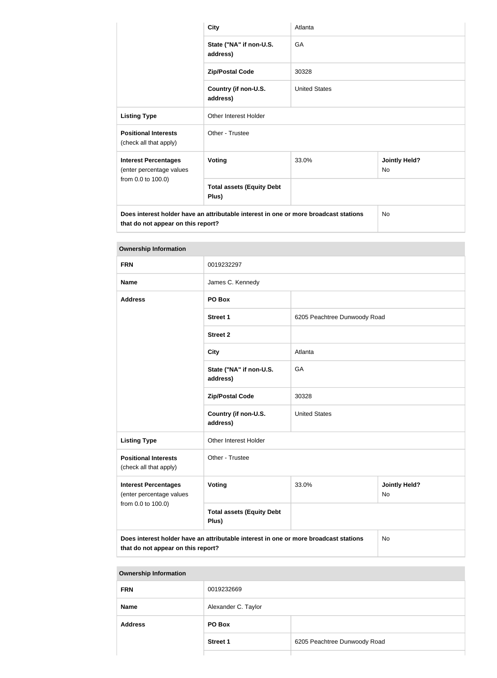|                                                                                                                            | <b>City</b>                               | Atlanta              |                                   |  |  |  |
|----------------------------------------------------------------------------------------------------------------------------|-------------------------------------------|----------------------|-----------------------------------|--|--|--|
|                                                                                                                            | State ("NA" if non-U.S.<br>address)       | GA                   |                                   |  |  |  |
|                                                                                                                            | <b>Zip/Postal Code</b>                    | 30328                |                                   |  |  |  |
|                                                                                                                            | Country (if non-U.S.<br>address)          | <b>United States</b> |                                   |  |  |  |
| <b>Listing Type</b>                                                                                                        | Other Interest Holder                     |                      |                                   |  |  |  |
| <b>Positional Interests</b><br>(check all that apply)                                                                      | Other - Trustee                           |                      |                                   |  |  |  |
| <b>Interest Percentages</b><br>(enter percentage values                                                                    | <b>Voting</b>                             | 33.0%                | <b>Jointly Held?</b><br><b>No</b> |  |  |  |
| from 0.0 to 100.0)                                                                                                         | <b>Total assets (Equity Debt</b><br>Plus) |                      |                                   |  |  |  |
| Does interest holder have an attributable interest in one or more broadcast stations<br>that do not appear on this report? |                                           |                      | <b>No</b>                         |  |  |  |

#### **Ownership Information**

| <b>FRN</b>                                                                                                                       | 0019232297                                |                              |                            |
|----------------------------------------------------------------------------------------------------------------------------------|-------------------------------------------|------------------------------|----------------------------|
|                                                                                                                                  |                                           |                              |                            |
| <b>Name</b>                                                                                                                      | James C. Kennedy                          |                              |                            |
| <b>Address</b>                                                                                                                   | PO Box                                    |                              |                            |
|                                                                                                                                  | <b>Street 1</b>                           | 6205 Peachtree Dunwoody Road |                            |
|                                                                                                                                  | <b>Street 2</b>                           |                              |                            |
|                                                                                                                                  | <b>City</b>                               | Atlanta                      |                            |
|                                                                                                                                  | State ("NA" if non-U.S.<br>address)       | GA                           |                            |
|                                                                                                                                  | <b>Zip/Postal Code</b>                    | 30328                        |                            |
|                                                                                                                                  | Country (if non-U.S.<br>address)          | <b>United States</b>         |                            |
| <b>Listing Type</b>                                                                                                              | Other Interest Holder                     |                              |                            |
| <b>Positional Interests</b><br>(check all that apply)                                                                            | Other - Trustee                           |                              |                            |
| <b>Interest Percentages</b><br>(enter percentage values<br>from 0.0 to 100.0)                                                    | <b>Voting</b>                             | 33.0%                        | <b>Jointly Held?</b><br>No |
|                                                                                                                                  | <b>Total assets (Equity Debt</b><br>Plus) |                              |                            |
| Does interest holder have an attributable interest in one or more broadcast stations<br>No<br>that do not appear on this report? |                                           |                              |                            |

#### **Ownership Information**

| <b>FRN</b>     | 0019232669          |                              |
|----------------|---------------------|------------------------------|
| <b>Name</b>    | Alexander C. Taylor |                              |
| <b>Address</b> | PO Box              |                              |
|                | <b>Street 1</b>     | 6205 Peachtree Dunwoody Road |
|                |                     |                              |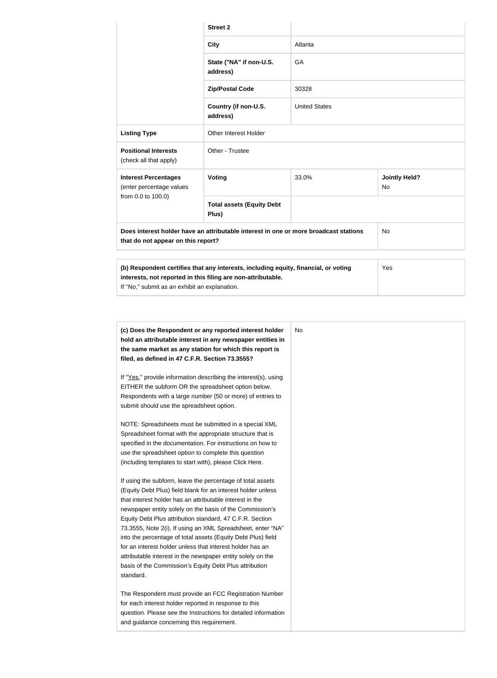|                                                                                                                                                                                                      | <b>Street 2</b>                           |                      |                            |  |
|------------------------------------------------------------------------------------------------------------------------------------------------------------------------------------------------------|-------------------------------------------|----------------------|----------------------------|--|
|                                                                                                                                                                                                      | <b>City</b>                               | Atlanta              |                            |  |
|                                                                                                                                                                                                      | State ("NA" if non-U.S.<br>address)       | GA                   |                            |  |
|                                                                                                                                                                                                      | <b>Zip/Postal Code</b>                    | 30328                |                            |  |
|                                                                                                                                                                                                      | Country (if non-U.S.<br>address)          | <b>United States</b> |                            |  |
| <b>Listing Type</b>                                                                                                                                                                                  | Other Interest Holder                     |                      |                            |  |
| <b>Positional Interests</b><br>(check all that apply)                                                                                                                                                | Other - Trustee                           |                      |                            |  |
| <b>Interest Percentages</b><br>(enter percentage values                                                                                                                                              | Voting                                    | 33.0%                | <b>Jointly Held?</b><br>No |  |
| from 0.0 to 100.0)                                                                                                                                                                                   | <b>Total assets (Equity Debt</b><br>Plus) |                      |                            |  |
| Does interest holder have an attributable interest in one or more broadcast stations<br><b>No</b><br>that do not appear on this report?                                                              |                                           |                      |                            |  |
|                                                                                                                                                                                                      |                                           |                      |                            |  |
| (b) Respondent certifies that any interests, including equity, financial, or voting<br>interests, not reported in this filing are non-attributable.<br>If "No," submit as an exhibit an explanation. | Yes                                       |                      |                            |  |

| No |                                                                 |  |
|----|-----------------------------------------------------------------|--|
|    | (c) Does the Respondent or any reported interest holder         |  |
|    | hold an attributable interest in any newspaper entities in      |  |
|    | the same market as any station for which this report is         |  |
|    | filed, as defined in 47 C.F.R. Section 73.3555?                 |  |
|    | If "Yes," provide information describing the interest(s), using |  |
|    | EITHER the subform OR the spreadsheet option below.             |  |
|    | Respondents with a large number (50 or more) of entries to      |  |
|    | submit should use the spreadsheet option.                       |  |
|    | NOTE: Spreadsheets must be submitted in a special XML           |  |
|    | Spreadsheet format with the appropriate structure that is       |  |
|    | specified in the documentation. For instructions on how to      |  |
|    | use the spreadsheet option to complete this question            |  |
|    | (including templates to start with), please Click Here.         |  |
|    | If using the subform, leave the percentage of total assets      |  |
|    | (Equity Debt Plus) field blank for an interest holder unless    |  |
|    | that interest holder has an attributable interest in the        |  |
|    | newspaper entity solely on the basis of the Commission's        |  |
|    | Equity Debt Plus attribution standard, 47 C.F.R. Section        |  |
|    | 73.3555, Note 2(i). If using an XML Spreadsheet, enter "NA"     |  |
|    | into the percentage of total assets (Equity Debt Plus) field    |  |
|    | for an interest holder unless that interest holder has an       |  |
|    | attributable interest in the newspaper entity solely on the     |  |
|    | basis of the Commission's Equity Debt Plus attribution          |  |
|    | standard.                                                       |  |
|    | The Respondent must provide an FCC Registration Number          |  |
|    | for each interest holder reported in response to this           |  |
|    | question. Please see the Instructions for detailed information  |  |
|    | and guidance concerning this requirement.                       |  |